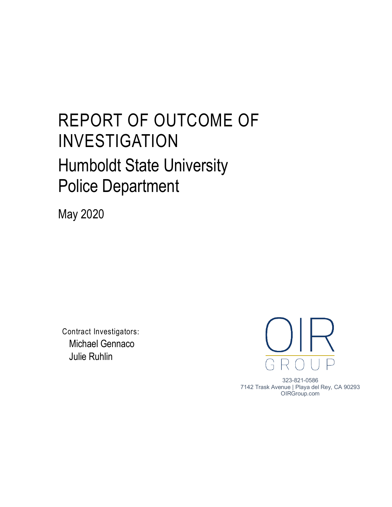## REPORT OF OUTCOME OF INVESTIGATION Humboldt State University Police Department

May 2020

Contract Investigators: Michael Gennaco Julie Ruhlin



323-821-0586 7142 Trask Avenue | Playa del Rey, CA 90293 OIRGroup.com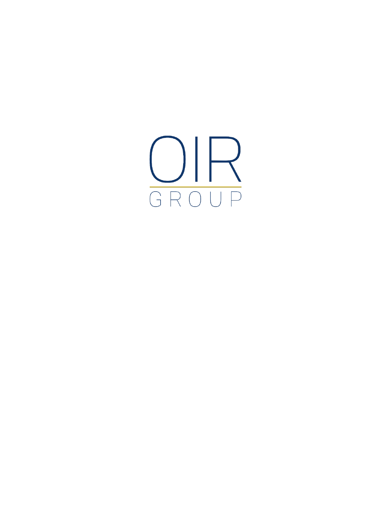$\underset{\text{GROUP}}{\underbrace{\text{OP}}}$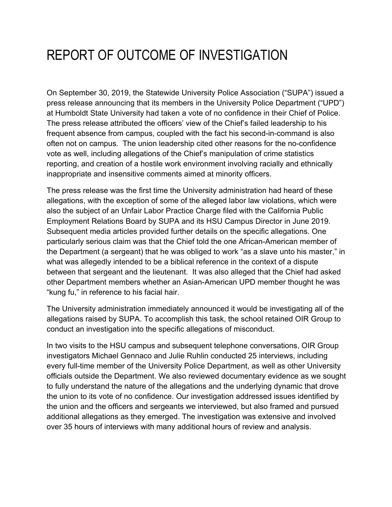## REPORT OF OUTCOME OF INVESTIGATION

On September 30, 2019, the Statewide University Police Association ("SUPA") issued a press release announcing that its members in the University Police Department ("UPD") at Humboldt State University had taken a vote of no confidence in their Chief of Police. The press release attributed the officers' view of the Chief's failed leadership to his frequent absence from campus, coupled with the fact his second-in-command is also often not on campus. The union leadership cited other reasons for the no-confidence vote as well, including allegations of the Chief's manipulation of crime statistics reporting, and creation of a hostile work environment involving racially and ethnically inappropriate and insensitive comments aimed at minority officers.

The press release was the first time the University administration had heard of these allegations, with the exception of some of the alleged labor law violations, which were also the subject of an Unfair Labor Practice Charge filed with the California Public Employment Relations Board by SUPA and its HSU Campus Director in June 2019. Subsequent media articles provided further details on the specific allegations. One particularly serious claim was that the Chief told the one African-American member of the Department (a sergeant) that he was obliged to work "as a slave unto his master," in what was allegedly intended to be a biblical reference in the context of a dispute between that sergeant and the lieutenant. It was also alleged that the Chief had asked other Department members whether an Asian-American UPD member thought he was "kung fu," in reference to his facial hair.

The University administration immediately announced it would be investigating all of the allegations raised by SUPA. To accomplish this task, the school retained OIR Group to conduct an investigation into the specific allegations of misconduct.

In two visits to the HSU campus and subsequent telephone conversations, OIR Group investigators Michael Gennaco and Julie Ruhlin conducted 25 interviews, including every full-time member of the University Police Department, as well as other University officials outside the Department. We also reviewed documentary evidence as we sought to fully understand the nature of the allegations and the underlying dynamic that drove the union to its vote of no confidence. Our investigation addressed issues identified by the union and the officers and sergeants we interviewed, but also framed and pursued additional allegations as they emerged. The investigation was extensive and involved over 35 hours of interviews with many additional hours of review and analysis.